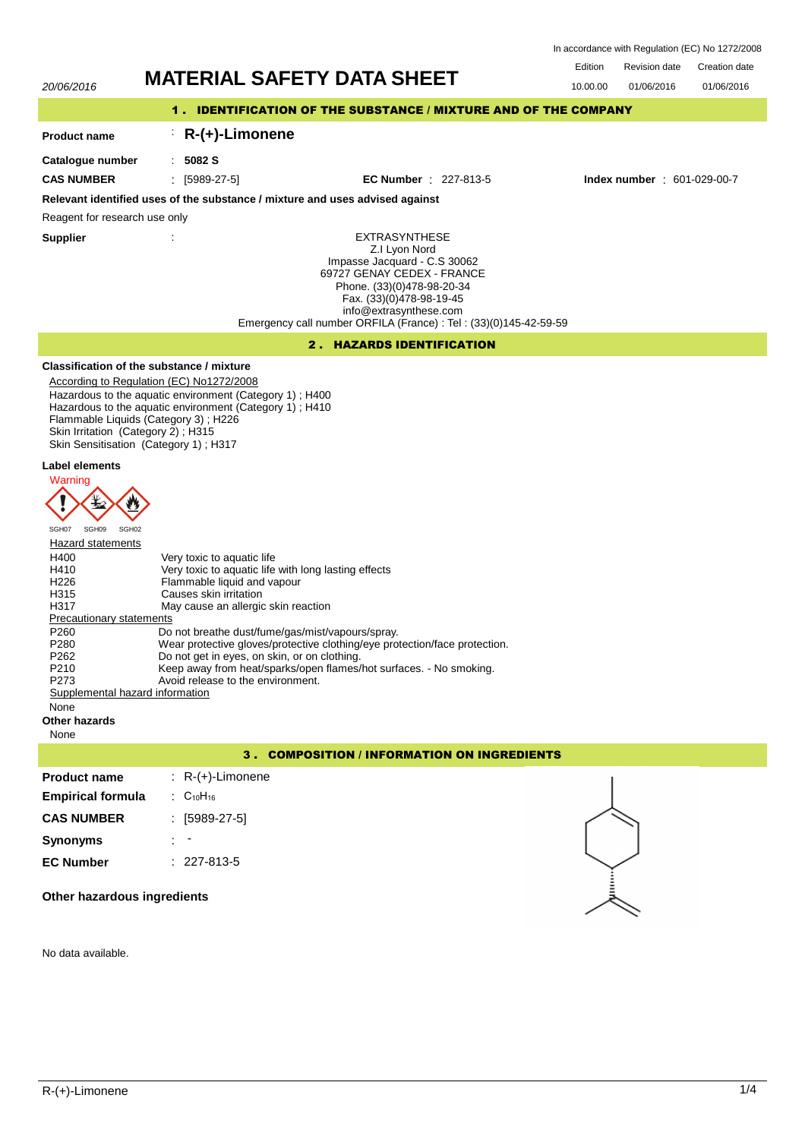Revision date Edition Revision date Creation date In accordance with Regulation (EC) No 1272/2008

01/06/2016

# 20/06/2016 **MATERIAL SAFETY DATA SHEET** 10.00.00 01/06/2016

# 1 . IDENTIFICATION OF THE SUBSTANCE / MIXTURE AND OF THE COMPANY

# : **R-(+)-Limonene**

**Catalogue number**

**Product name**

: **5082 S**

**CAS NUMBER** : [5989-27-5] **EC Number** : 227-813-5 **Index number** : 601-029-00-7

# **Relevant identified uses of the substance / mixture and uses advised against**

Reagent for research use only

**Supplier** :

EXTRASYNTHESE Z.I Lyon Nord Impasse Jacquard - C.S 30062 69727 GENAY CEDEX - FRANCE Phone. (33)(0)478-98-20-34 Fax. (33)(0)478-98-19-45 info@extrasynthese.com Emergency call number ORFILA (France) : Tel : (33)(0)145-42-59-59

# 2 . HAZARDS IDENTIFICATION

# **Classification of the substance / mixture**

According to Regulation (EC) No1272/2008 Hazardous to the aquatic environment (Category 1) ; H400 Hazardous to the aquatic environment (Category 1) ; H410 Flammable Liquids (Category 3) ; H226 Skin Irritation (Category 2) ; H315 Skin Sensitisation (Category 1) ; H317

# **Label elements**



| <b>Hazard statements</b>        |                                                                            |  |  |
|---------------------------------|----------------------------------------------------------------------------|--|--|
| H400                            | Very toxic to aquatic life                                                 |  |  |
| H410                            | Very toxic to aquatic life with long lasting effects                       |  |  |
| H <sub>226</sub>                | Flammable liquid and vapour                                                |  |  |
| H <sub>315</sub>                | Causes skin irritation                                                     |  |  |
| H317                            | May cause an allergic skin reaction                                        |  |  |
| <b>Precautionary statements</b> |                                                                            |  |  |
| P <sub>260</sub>                | Do not breathe dust/fume/gas/mist/vapours/spray.                           |  |  |
| P <sub>280</sub>                | Wear protective gloves/protective clothing/eye protection/face protection. |  |  |
| P <sub>262</sub>                | Do not get in eyes, on skin, or on clothing.                               |  |  |
| P <sub>210</sub>                | Keep away from heat/sparks/open flames/hot surfaces. - No smoking.         |  |  |
| P <sub>273</sub>                | Avoid release to the environment.                                          |  |  |
| Supplemental hazard information |                                                                            |  |  |

None

## **Other hazards**

None

# 3 . COMPOSITION / INFORMATION ON INGREDIENTS

| <b>Product name</b>      | $: R-(+)$ -Limonene         |
|--------------------------|-----------------------------|
| <b>Empirical formula</b> | $\therefore$ $C_{10}H_{16}$ |
| <b>CAS NUMBER</b>        | : [5989-27-5]               |
| <b>Synonyms</b>          |                             |
| <b>EC Number</b>         | $: 227 - 813 - 5$           |
|                          |                             |



**Other hazardous ingredients**

No data available.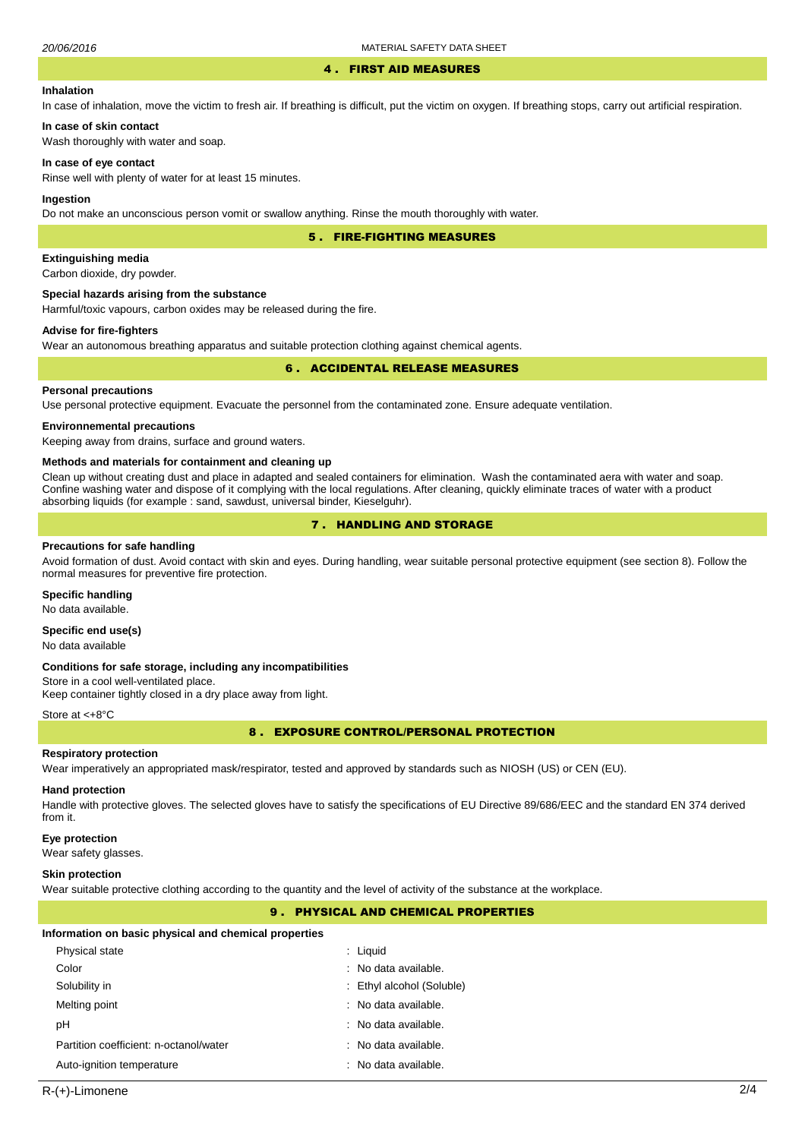#### 4 . FIRST AID MEASURES

#### **Inhalation**

In case of inhalation, move the victim to fresh air. If breathing is difficult, put the victim on oxygen. If breathing stops, carry out artificial respiration.

Wash thoroughly with water and soap.

#### **In case of eye contact**

**In case of skin contact**

Rinse well with plenty of water for at least 15 minutes.

#### **Ingestion**

Do not make an unconscious person vomit or swallow anything. Rinse the mouth thoroughly with water.

5 . FIRE-FIGHTING MEASURES

#### **Extinguishing media**

Carbon dioxide, dry powder.

#### **Special hazards arising from the substance**

Harmful/toxic vapours, carbon oxides may be released during the fire.

# **Advise for fire-fighters**

Wear an autonomous breathing apparatus and suitable protection clothing against chemical agents.

#### 6 . ACCIDENTAL RELEASE MEASURES

#### **Personal precautions**

Use personal protective equipment. Evacuate the personnel from the contaminated zone. Ensure adequate ventilation.

#### **Environnemental precautions**

Keeping away from drains, surface and ground waters.

#### **Methods and materials for containment and cleaning up**

Clean up without creating dust and place in adapted and sealed containers for elimination. Wash the contaminated aera with water and soap. Confine washing water and dispose of it complying with the local regulations. After cleaning, quickly eliminate traces of water with a product absorbing liquids (for example : sand, sawdust, universal binder, Kieselguhr).

# 7 . HANDLING AND STORAGE

#### **Precautions for safe handling**

Avoid formation of dust. Avoid contact with skin and eyes. During handling, wear suitable personal protective equipment (see section 8). Follow the normal measures for preventive fire protection.

#### **Specific handling**

No data available.

# **Specific end use(s)**

No data available

#### **Conditions for safe storage, including any incompatibilities**

Store in a cool well-ventilated place. Keep container tightly closed in a dry place away from light.

#### Store at <+8°C

8 . EXPOSURE CONTROL/PERSONAL PROTECTION

#### **Respiratory protection**

Wear imperatively an appropriated mask/respirator, tested and approved by standards such as NIOSH (US) or CEN (EU).

#### **Hand protection**

Handle with protective gloves. The selected gloves have to satisfy the specifications of EU Directive 89/686/EEC and the standard EN 374 derived from it.

#### **Eye protection**

Wear safety glasses.

#### **Skin protection**

Wear suitable protective clothing according to the quantity and the level of activity of the substance at the workplace.

# 9 . PHYSICAL AND CHEMICAL PROPERTIES

#### **Information on basic physical and chemical properties**

| Physical state                         | : Liguid                  |
|----------------------------------------|---------------------------|
| Color                                  | : No data available.      |
| Solubility in                          | : Ethyl alcohol (Soluble) |
| Melting point                          | : No data available.      |
| рH                                     | : No data available.      |
| Partition coefficient: n-octanol/water | : No data available.      |
| Auto-ignition temperature              | : No data available.      |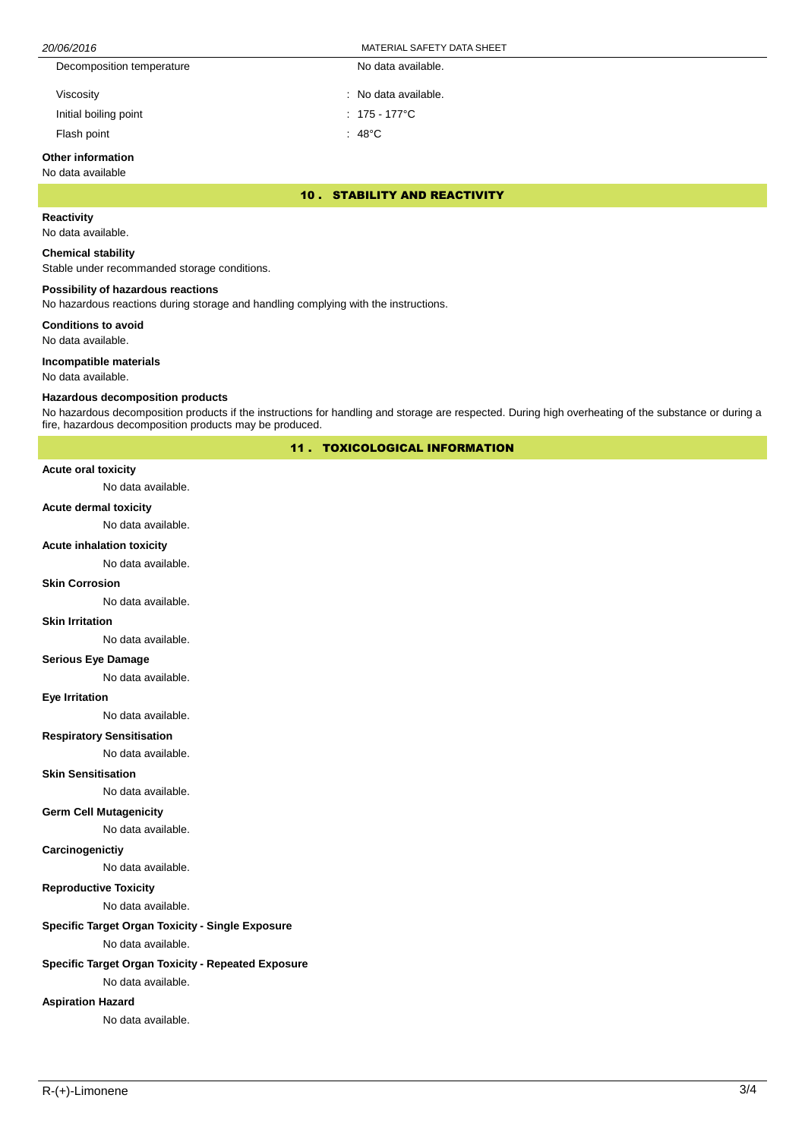| 20/06/2016                | MATERIAL SAFETY DATA SHEET |  |
|---------------------------|----------------------------|--|
| Decomposition temperature | No data available.         |  |
| Viscosity                 | : No data available.       |  |
| Initial boiling point     | $: 175 - 177^{\circ}$ C    |  |

Flash point : 48°C

# **Other information**

#### No data available

10 . STABILITY AND REACTIVITY

# **Reactivity**

No data available.

#### **Chemical stability**

Stable under recommanded storage conditions.

#### **Possibility of hazardous reactions**

No hazardous reactions during storage and handling complying with the instructions.

**Conditions to avoid**

No data available.

#### **Incompatible materials**

No data available.

#### **Hazardous decomposition products**

No hazardous decomposition products if the instructions for handling and storage are respected. During high overheating of the substance or during a fire, hazardous decomposition products may be produced.

11 . TOXICOLOGICAL INFORMATION

#### **Acute oral toxicity**

No data available.

#### **Acute dermal toxicity**

No data available.

#### **Acute inhalation toxicity**

No data available.

#### **Skin Corrosion**

No data available.

#### **Skin Irritation**

No data available.

# **Serious Eye Damage**

No data available.

#### **Eye Irritation**

No data available.

# **Respiratory Sensitisation**

No data available.

#### **Skin Sensitisation**

No data available.

#### **Germ Cell Mutagenicity**

No data available.

#### **Carcinogenictiy**

No data available.

### **Reproductive Toxicity**

No data available.

# **Specific Target Organ Toxicity - Single Exposure**

No data available.

# **Specific Target Organ Toxicity - Repeated Exposure**

No data available.

# **Aspiration Hazard**

No data available.